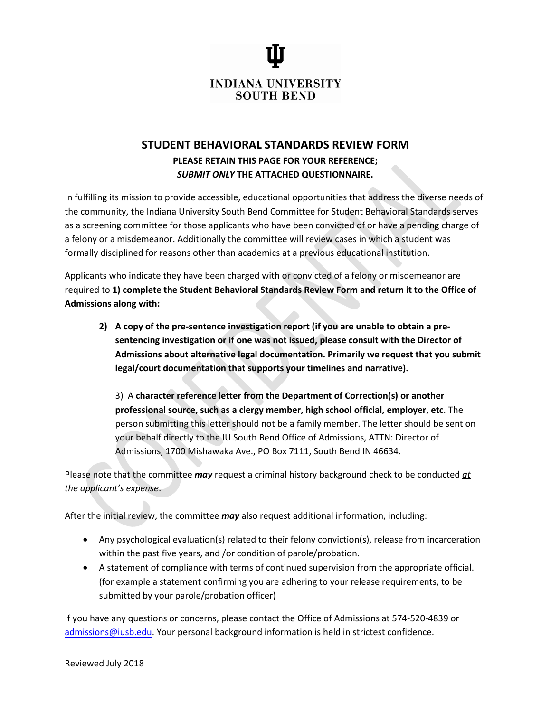**INDIANA UNIVERSITY SOUTH BEND** 

## **STUDENT BEHAVIORAL STANDARDS REVIEW FORM PLEASE RETAIN THIS PAGE FOR YOUR REFERENCE;** *SUBMIT ONLY* **THE ATTACHED QUESTIONNAIRE.**

In fulfilling its mission to provide accessible, educational opportunities that address the diverse needs of the community, the Indiana University South Bend Committee for Student Behavioral Standards serves as a screening committee for those applicants who have been convicted of or have a pending charge of a felony or a misdemeanor. Additionally the committee will review cases in which a student was formally disciplined for reasons other than academics at a previous educational institution.

Applicants who indicate they have been charged with or convicted of a felony or misdemeanor are required to **1) complete the Student Behavioral Standards Review Form and return it to the Office of Admissions along with:**

**2) A copy of the pre-sentence investigation report (if you are unable to obtain a presentencing investigation or if one was not issued, please consult with the Director of Admissions about alternative legal documentation. Primarily we request that you submit legal/court documentation that supports your timelines and narrative).**

3) A **character reference letter from the Department of Correction(s) or another professional source, such as a clergy member, high school official, employer, etc**. The person submitting this letter should not be a family member. The letter should be sent on your behalf directly to the IU South Bend Office of Admissions, ATTN: Director of Admissions, 1700 Mishawaka Ave., PO Box 7111, South Bend IN 46634.

Please note that the committee *may* request a criminal history background check to be conducted *at the applicant's expense*.

After the initial review, the committee *may* also request additional information, including:

- Any psychological evaluation(s) related to their felony conviction(s), release from incarceration within the past five years, and /or condition of parole/probation.
- A statement of compliance with terms of continued supervision from the appropriate official. (for example a statement confirming you are adhering to your release requirements, to be submitted by your parole/probation officer)

If you have any questions or concerns, please contact the Office of Admissions at 574-520-4839 or [admissions@iusb.edu.](mailto:admissions@iusb.edu) Your personal background information is held in strictest confidence.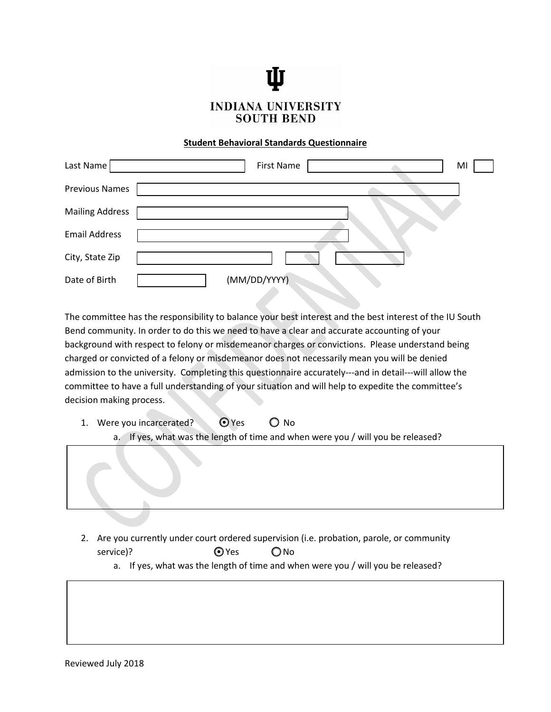## **INDIANA UNIVERSITY SOUTH BEND**

## **Student Behavioral Standards Questionnaire**

| Last Name              | <b>First Name</b><br>MI |
|------------------------|-------------------------|
| <b>Previous Names</b>  |                         |
| <b>Mailing Address</b> |                         |
| <b>Email Address</b>   |                         |
| City, State Zip        |                         |
| Date of Birth          | (MM/DD/YYYY)            |

The committee has the responsibility to balance your best interest and the best interest of the IU South Bend community. In order to do this we need to have a clear and accurate accounting of your background with respect to felony or misdemeanor charges or convictions. Please understand being charged or convicted of a felony or misdemeanor does not necessarily mean you will be denied admission to the university. Completing this questionnaire accurately---and in detail---will allow the committee to have a full understanding of your situation and will help to expedite the committee's decision making process.

- 1. Were you incarcerated?  $\bigcirc$  Yes  $\bigcirc$  No
	- a. If yes, what was the length of time and when were you / will you be released?



- 2. Are you currently under court ordered supervision (i.e. probation, parole, or community service)?  $Q$  Yes  $Q$  No
	- a. If yes, what was the length of time and when were you / will you be released?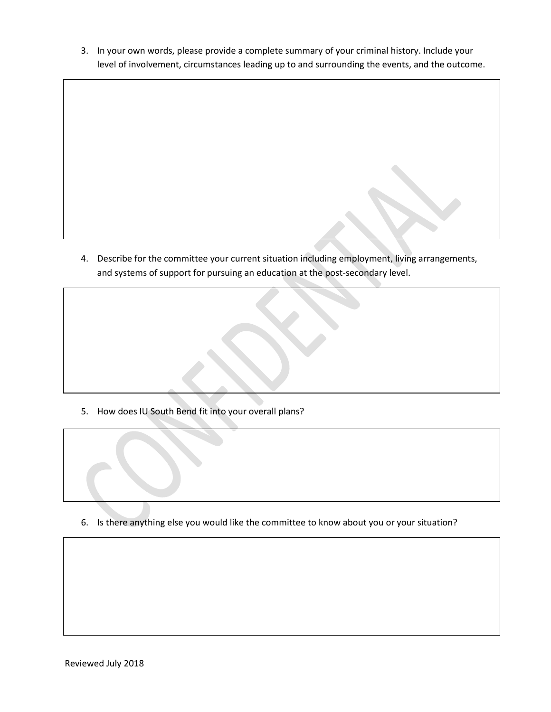3. In your own words, please provide a complete summary of your criminal history. Include your level of involvement, circumstances leading up to and surrounding the events, and the outcome.

4. Describe for the committee your current situation including employment, living arrangements, and systems of support for pursuing an education at the post-secondary level.

5. How does IU South Bend fit into your overall plans?